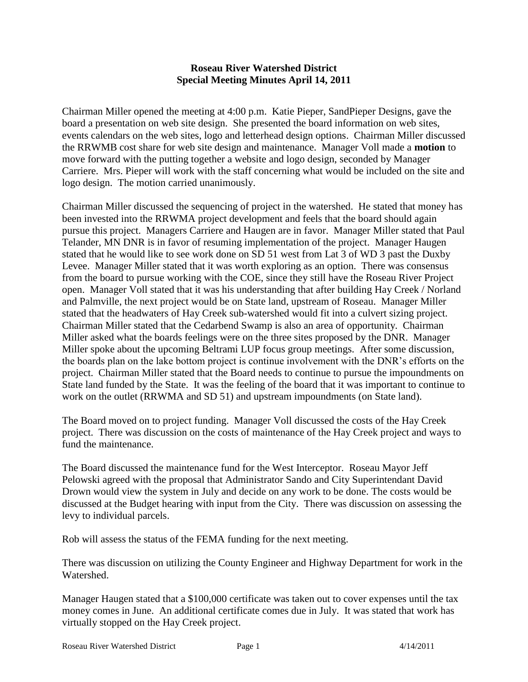## **Roseau River Watershed District Special Meeting Minutes April 14, 2011**

Chairman Miller opened the meeting at 4:00 p.m. Katie Pieper, SandPieper Designs, gave the board a presentation on web site design. She presented the board information on web sites, events calendars on the web sites, logo and letterhead design options. Chairman Miller discussed the RRWMB cost share for web site design and maintenance. Manager Voll made a **motion** to move forward with the putting together a website and logo design, seconded by Manager Carriere. Mrs. Pieper will work with the staff concerning what would be included on the site and logo design. The motion carried unanimously.

Chairman Miller discussed the sequencing of project in the watershed. He stated that money has been invested into the RRWMA project development and feels that the board should again pursue this project. Managers Carriere and Haugen are in favor. Manager Miller stated that Paul Telander, MN DNR is in favor of resuming implementation of the project. Manager Haugen stated that he would like to see work done on SD 51 west from Lat 3 of WD 3 past the Duxby Levee. Manager Miller stated that it was worth exploring as an option. There was consensus from the board to pursue working with the COE, since they still have the Roseau River Project open. Manager Voll stated that it was his understanding that after building Hay Creek / Norland and Palmville, the next project would be on State land, upstream of Roseau. Manager Miller stated that the headwaters of Hay Creek sub-watershed would fit into a culvert sizing project. Chairman Miller stated that the Cedarbend Swamp is also an area of opportunity. Chairman Miller asked what the boards feelings were on the three sites proposed by the DNR. Manager Miller spoke about the upcoming Beltrami LUP focus group meetings. After some discussion, the boards plan on the lake bottom project is continue involvement with the DNR's efforts on the project. Chairman Miller stated that the Board needs to continue to pursue the impoundments on State land funded by the State. It was the feeling of the board that it was important to continue to work on the outlet (RRWMA and SD 51) and upstream impoundments (on State land).

The Board moved on to project funding. Manager Voll discussed the costs of the Hay Creek project. There was discussion on the costs of maintenance of the Hay Creek project and ways to fund the maintenance.

The Board discussed the maintenance fund for the West Interceptor. Roseau Mayor Jeff Pelowski agreed with the proposal that Administrator Sando and City Superintendant David Drown would view the system in July and decide on any work to be done. The costs would be discussed at the Budget hearing with input from the City. There was discussion on assessing the levy to individual parcels.

Rob will assess the status of the FEMA funding for the next meeting.

There was discussion on utilizing the County Engineer and Highway Department for work in the Watershed.

Manager Haugen stated that a \$100,000 certificate was taken out to cover expenses until the tax money comes in June. An additional certificate comes due in July. It was stated that work has virtually stopped on the Hay Creek project.